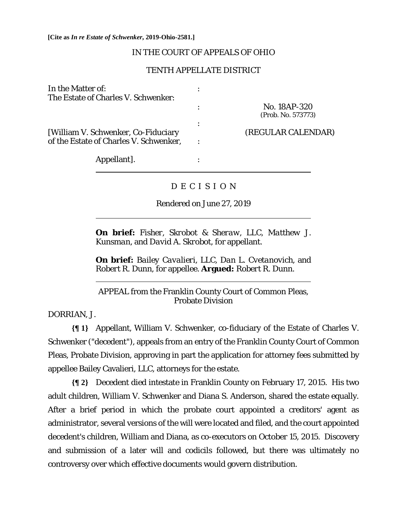#### IN THE COURT OF APPEALS OF OHIO

### TENTH APPELLATE DISTRICT

| In the Matter of:                      |                    |
|----------------------------------------|--------------------|
| The Estate of Charles V. Schwenker:    |                    |
|                                        | No. 18AP-320       |
|                                        | (Prob. No. 573773) |
|                                        |                    |
| [William V. Schwenker, Co-Fiduciary    | (REGULAR CALENDAR) |
| of the Estate of Charles V. Schwenker, |                    |
| Appellant].                            |                    |
|                                        |                    |

### D E C I S I O N

Rendered on June 27, 2019

**On brief:** *Fisher, Skrobot & Sheraw, LLC, Matthew J. Kunsman,* and *David A. Skrobot,* for appellant.

**On brief:** *Bailey Cavalieri, LLC, Dan L. Cvetanovich,* and *Robert R. Dunn*, for appellee. **Argued:** *Robert R. Dunn.*

# APPEAL from the Franklin County Court of Common Pleas, Probate Division

DORRIAN, J.

 $\overline{a}$ 

 $\overline{a}$ 

**{¶ 1}** Appellant, William V. Schwenker, co-fiduciary of the Estate of Charles V. Schwenker ("decedent"), appeals from an entry of the Franklin County Court of Common Pleas, Probate Division, approving in part the application for attorney fees submitted by appellee Bailey Cavalieri, LLC, attorneys for the estate.

**{¶ 2}** Decedent died intestate in Franklin County on February 17, 2015. His two adult children, William V. Schwenker and Diana S. Anderson, shared the estate equally. After a brief period in which the probate court appointed a creditors' agent as administrator, several versions of the will were located and filed, and the court appointed decedent's children, William and Diana, as co-executors on October 15, 2015. Discovery and submission of a later will and codicils followed, but there was ultimately no controversy over which effective documents would govern distribution.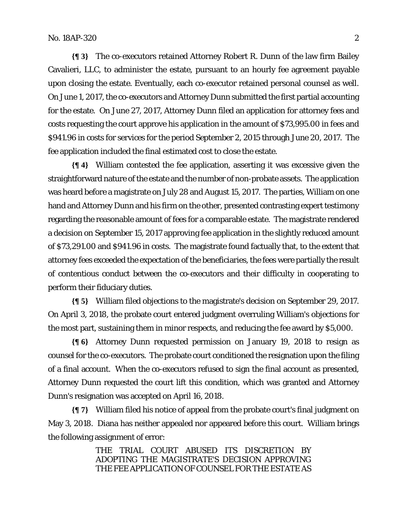**{¶ 3}** The co-executors retained Attorney Robert R. Dunn of the law firm Bailey Cavalieri, LLC, to administer the estate, pursuant to an hourly fee agreement payable upon closing the estate. Eventually, each co-executor retained personal counsel as well. On June 1, 2017, the co-executors and Attorney Dunn submitted the first partial accounting for the estate. On June 27, 2017, Attorney Dunn filed an application for attorney fees and costs requesting the court approve his application in the amount of \$73,995.00 in fees and \$941.96 in costs for services for the period September 2, 2015 through June 20, 2017. The fee application included the final estimated cost to close the estate.

**{¶ 4}** William contested the fee application, asserting it was excessive given the straightforward nature of the estate and the number of non-probate assets. The application was heard before a magistrate on July 28 and August 15, 2017. The parties, William on one hand and Attorney Dunn and his firm on the other, presented contrasting expert testimony regarding the reasonable amount of fees for a comparable estate. The magistrate rendered a decision on September 15, 2017 approving fee application in the slightly reduced amount of \$73,291.00 and \$941.96 in costs. The magistrate found factually that, to the extent that attorney fees exceeded the expectation of the beneficiaries, the fees were partially the result of contentious conduct between the co-executors and their difficulty in cooperating to perform their fiduciary duties.

**{¶ 5}** William filed objections to the magistrate's decision on September 29, 2017. On April 3, 2018, the probate court entered judgment overruling William's objections for the most part, sustaining them in minor respects, and reducing the fee award by \$5,000.

**{¶ 6}** Attorney Dunn requested permission on January 19, 2018 to resign as counsel for the co-executors. The probate court conditioned the resignation upon the filing of a final account. When the co-executors refused to sign the final account as presented, Attorney Dunn requested the court lift this condition, which was granted and Attorney Dunn's resignation was accepted on April 16, 2018.

**{¶ 7}** William filed his notice of appeal from the probate court's final judgment on May 3, 2018. Diana has neither appealed nor appeared before this court. William brings the following assignment of error:

> THE TRIAL COURT ABUSED ITS DISCRETION BY ADOPTING THE MAGISTRATE'S DECISION APPROVING THE FEE APPLICATION OF COUNSEL FOR THE ESTATE AS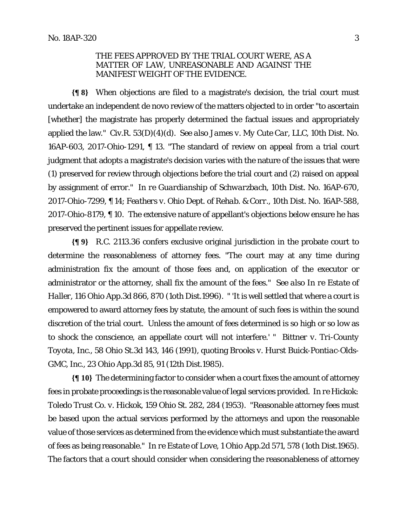## THE FEES APPROVED BY THE TRIAL COURT WERE, AS A MATTER OF LAW, UNREASONABLE AND AGAINST THE MANIFEST WEIGHT OF THE EVIDENCE.

**{¶ 8}** When objections are filed to a magistrate's decision, the trial court must undertake an independent de novo review of the matters objected to in order "to ascertain [whether] the magistrate has properly determined the factual issues and appropriately applied the law." Civ.R. 53(D)(4)(d). *See also James v. My Cute Car, LLC*, 10th Dist. No. 16AP-603, 2017-Ohio-1291, ¶ 13. "The standard of review on appeal from a trial court judgment that adopts a magistrate's decision varies with the nature of the issues that were (1) preserved for review through objections before the trial court and (2) raised on appeal by assignment of error." *In re Guardianship of Schwarzbach*, 10th Dist. No. 16AP-670, 2017-Ohio-7299, ¶ 14; *Feathers v. Ohio Dept. of Rehab. & Corr.*, 10th Dist. No. 16AP-588, 2017-Ohio-8179, ¶ 10. The extensive nature of appellant's objections below ensure he has preserved the pertinent issues for appellate review.

**{¶ 9}** R.C. 2113.36 confers exclusive original jurisdiction in the probate court to determine the reasonableness of attorney fees. "The court may at any time during administration fix the amount of those fees and, on application of the executor or administrator or the attorney, shall fix the amount of the fees." *See also In re Estate of Haller,* 116 Ohio App.3d 866, 870 (1oth Dist.1996). " 'It is well settled that where a court is empowered to award attorney fees by statute, the amount of such fees is within the sound discretion of the trial court. Unless the amount of fees determined is so high or so low as to shock the conscience, an appellate court will not interfere.' " *Bittner v. Tri-County Toyota, Inc*., 58 Ohio St.3d 143, 146 (1991), quoting *Brooks v. Hurst Buick-Pontiac-Olds-GMC, Inc.,* 23 Ohio App.3d 85, 91 (12th Dist.1985).

**{¶ 10}** The determining factor to consider when a court fixes the amount of attorney fees in probate proceedings is the reasonable value of legal services provided. *In re Hickok: Toledo Trust Co. v. Hickok*, 159 Ohio St. 282, 284 (1953). "Reasonable attorney fees must be based upon the actual services performed by the attorneys and upon the reasonable value of those services as determined from the evidence which must substantiate the award of fees as being reasonable." *In re Estate of Love*, 1 Ohio App.2d 571, 578 (1oth Dist.1965). The factors that a court should consider when considering the reasonableness of attorney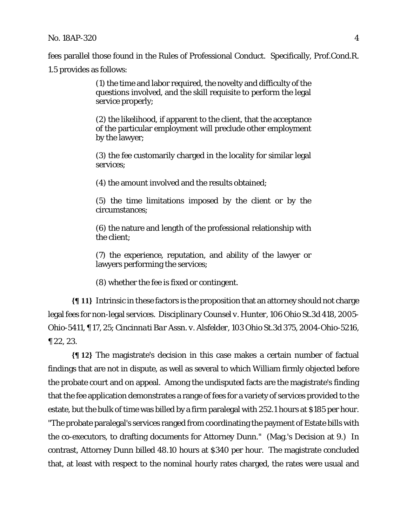fees parallel those found in the Rules of Professional Conduct. Specifically, Prof.Cond.R.

1.5 provides as follows:

(1) the time and labor required, the novelty and difficulty of the questions involved, and the skill requisite to perform the legal service properly;

(2) the likelihood, if apparent to the client, that the acceptance of the particular employment will preclude other employment by the lawyer;

(3) the fee customarily charged in the locality for similar legal services;

(4) the amount involved and the results obtained;

(5) the time limitations imposed by the client or by the circumstances;

(6) the nature and length of the professional relationship with the client;

(7) the experience, reputation, and ability of the lawyer or lawyers performing the services;

(8) whether the fee is fixed or contingent.

**{¶ 11}** Intrinsic in these factors is the proposition that an attorney should not charge legal fees for non-legal services*. Disciplinary Counsel v. Hunter*, 106 Ohio St.3d 418, 2005- Ohio-5411, ¶ 17, 25; *Cincinnati Bar Assn. v. Alsfelder*, 103 Ohio St.3d 375, 2004-Ohio-5216, ¶ 22, 23.

**{¶ 12}** The magistrate's decision in this case makes a certain number of factual findings that are not in dispute, as well as several to which William firmly objected before the probate court and on appeal. Among the undisputed facts are the magistrate's finding that the fee application demonstrates a range of fees for a variety of services provided to the estate, but the bulk of time was billed by a firm paralegal with 252.1 hours at \$185 per hour. "The probate paralegal's services ranged from coordinating the payment of Estate bills with the co-executors, to drafting documents for Attorney Dunn." (Mag.'s Decision at 9.) In contrast, Attorney Dunn billed 48.10 hours at \$340 per hour. The magistrate concluded that, at least with respect to the nominal hourly rates charged, the rates were usual and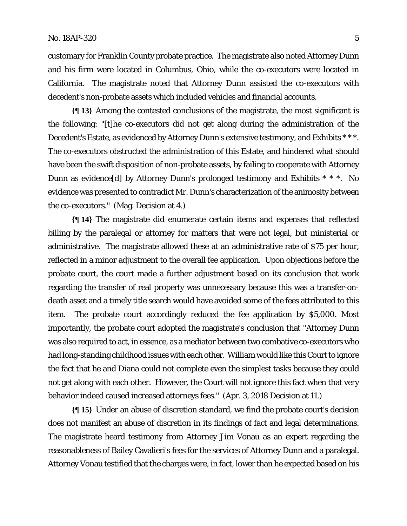customary for Franklin County probate practice. The magistrate also noted Attorney Dunn and his firm were located in Columbus, Ohio, while the co-executors were located in California. The magistrate noted that Attorney Dunn assisted the co-executors with decedent's non-probate assets which included vehicles and financial accounts.

**{¶ 13}** Among the contested conclusions of the magistrate, the most significant is the following: "[t]he co-executors did not get along during the administration of the Decedent's Estate, as evidenced by Attorney Dunn's extensive testimony, and Exhibits \* \* \*. The co-executors obstructed the administration of this Estate, and hindered what should have been the swift disposition of non-probate assets, by failing to cooperate with Attorney Dunn as evidence[d] by Attorney Dunn's prolonged testimony and Exhibits \* \* \*. No evidence was presented to contradict Mr. Dunn's characterization of the animosity between the co-executors." (Mag. Decision at 4.)

**{¶ 14}** The magistrate did enumerate certain items and expenses that reflected billing by the paralegal or attorney for matters that were not legal, but ministerial or administrative. The magistrate allowed these at an administrative rate of \$75 per hour, reflected in a minor adjustment to the overall fee application. Upon objections before the probate court, the court made a further adjustment based on its conclusion that work regarding the transfer of real property was unnecessary because this was a transfer-ondeath asset and a timely title search would have avoided some of the fees attributed to this item. The probate court accordingly reduced the fee application by \$5,000. Most importantly, the probate court adopted the magistrate's conclusion that "Attorney Dunn was also required to act, in essence, as a mediator between two combative co-executors who had long-standing childhood issues with each other. William would like this Court to ignore the fact that he and Diana could not complete even the simplest tasks because they could not get along with each other. However, the Court will not ignore this fact when that very behavior indeed caused increased attorneys fees." (Apr. 3, 2018 Decision at 11.)

**{¶ 15}** Under an abuse of discretion standard, we find the probate court's decision does not manifest an abuse of discretion in its findings of fact and legal determinations. The magistrate heard testimony from Attorney Jim Vonau as an expert regarding the reasonableness of Bailey Cavalieri's fees for the services of Attorney Dunn and a paralegal. Attorney Vonau testified that the charges were, in fact, lower than he expected based on his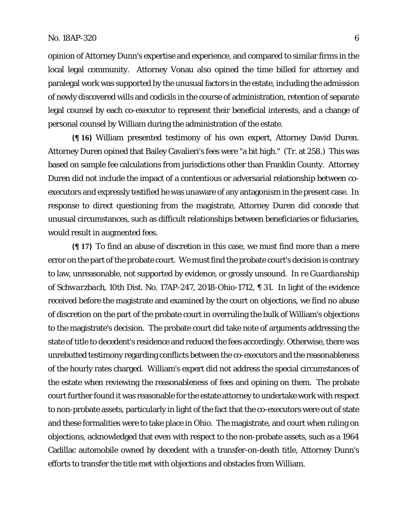opinion of Attorney Dunn's expertise and experience, and compared to similar firms in the local legal community. Attorney Vonau also opined the time billed for attorney and paralegal work was supported by the unusual factors in the estate, including the admission of newly discovered wills and codicils in the course of administration, retention of separate legal counsel by each co-executor to represent their beneficial interests, and a change of personal counsel by William during the administration of the estate.

**{¶ 16}** William presented testimony of his own expert, Attorney David Duren. Attorney Duren opined that Bailey Cavalieri's fees were "a bit high." (Tr. at 258.) This was based on sample fee calculations from jurisdictions other than Franklin County. Attorney Duren did not include the impact of a contentious or adversarial relationship between coexecutors and expressly testified he was unaware of any antagonism in the present case. In response to direct questioning from the magistrate, Attorney Duren did concede that unusual circumstances, such as difficult relationships between beneficiaries or fiduciaries, would result in augmented fees.

**{¶ 17}** To find an abuse of discretion in this case, we must find more than a mere error on the part of the probate court. We must find the probate court's decision is contrary to law, unreasonable, not supported by evidence, or grossly unsound. *In re Guardianship of Schwarzbach*, 10th Dist. No. 17AP-247, 2018-Ohio-1712, ¶ 31. In light of the evidence received before the magistrate and examined by the court on objections, we find no abuse of discretion on the part of the probate court in overruling the bulk of William's objections to the magistrate's decision. The probate court did take note of arguments addressing the state of title to decedent's residence and reduced the fees accordingly. Otherwise, there was unrebutted testimony regarding conflicts between the co-executors and the reasonableness of the hourly rates charged. William's expert did not address the special circumstances of the estate when reviewing the reasonableness of fees and opining on them. The probate court further found it was reasonable for the estate attorney to undertake work with respect to non-probate assets, particularly in light of the fact that the co-executors were out of state and these formalities were to take place in Ohio. The magistrate, and court when ruling on objections, acknowledged that even with respect to the non-probate assets, such as a 1964 Cadillac automobile owned by decedent with a transfer-on-death title, Attorney Dunn's efforts to transfer the title met with objections and obstacles from William.